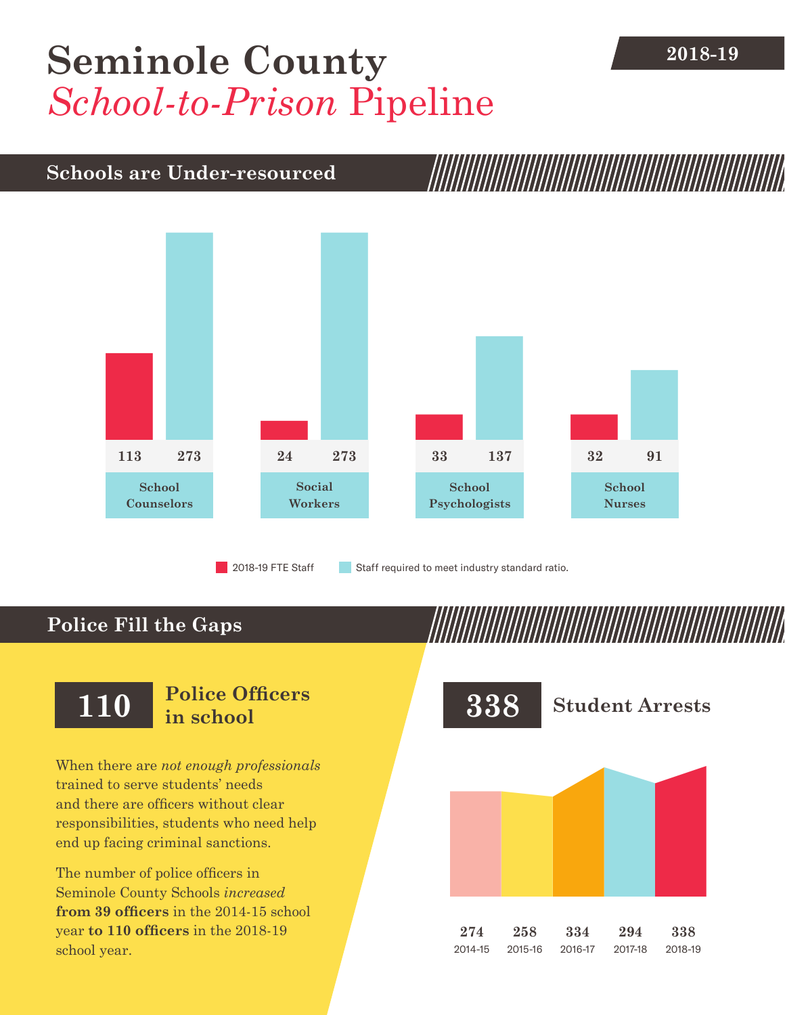# **2018-19 [Seminole County](DBF_County)** *School-to-Prison* Pipeline

## **Schools are Under-resourced**



2018-19 FTE Staff **Staff required to meet industry standard ratio.** 

## **Police Fill the Gaps**

When there are *not enough professionals* trained to serve students' needs and there are officers without clear responsibilities, students who need help end up facing criminal sanctions.

The number of police officers in [Seminole County](DBF_County) Schools *increased* **from [39](DBF_PO1415) officers** in the 2014-15 school year **to [110](DBF_PO) officers** in the 2018-19 school year.